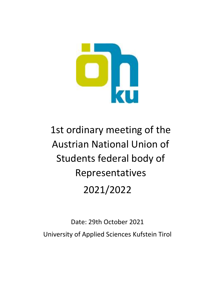

# 1st ordinary meeting of the Austrian National Union of Students federal body of Representatives 2021/2022

Date: 29th October 2021 University of Applied Sciences Kufstein Tirol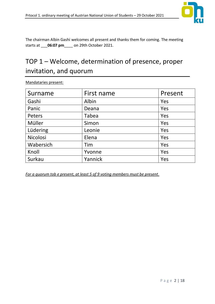

The chairman Albin Gashi welcomes all present and thanks them for coming. The meeting starts at \_\_\_**06:07 pm**\_\_\_\_ on 29th October 2021.

# TOP  $1$  – Welcome, determination of presence, proper invitation, and quorum

| Surname   | First name | Present |
|-----------|------------|---------|
| Gashi     | Albin      | Yes     |
| Panic     | Deana      | Yes     |
| Peters    | Tabea      | Yes     |
| Müller    | Simon      | Yes     |
| Lüdering  | Leonie     | Yes     |
| Nicolosi  | Elena      | Yes     |
| Wabersich | Tim        | Yes     |
| Knoll     | Yvonne     | Yes     |
| Surkau    | Yannick    | Yes     |

Mandataries present:

*For a quorum tob e present, at least 5 of 9 voting members must be present.*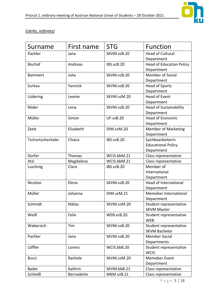

#### *(clerks, referees)*

| Surname           | First name | <b>STG</b>       | <b>Function</b>                 |
|-------------------|------------|------------------|---------------------------------|
| Pachler           | Jana       | SKVM.vzB.20      | <b>Head of Cultural</b>         |
|                   |            |                  | Department                      |
| <b>Bischof</b>    | Andreas    | IBS.vzB.20       | <b>Head of Education Policy</b> |
|                   |            |                  | Department                      |
| <b>Bammert</b>    | Julia      | SKVM.vzB.20      | <b>Member of Social</b>         |
|                   |            |                  | Department                      |
| Surkau            | Yannick    | SKVM.vzB.20      | <b>Head of Sports</b>           |
|                   |            |                  | Department                      |
| Lüdering          | Leonie     | SKVM.vzM.20      | <b>Head of Event</b>            |
|                   |            |                  | Department                      |
| Röder             | Lena       | SKVM.vzB.20      | <b>Head of Sustainability</b>   |
|                   |            |                  | Department                      |
| Müller            | Simon      | <b>UF.vzB.20</b> | <b>Head of Economic</b>         |
|                   |            |                  | Department                      |
| Zeeb              | Elisabeth  | DIM.vzM.20       | <b>Member of Marketing</b>      |
|                   |            |                  | Department                      |
| Tschurtschentaler | Chiara     | IBS.vzB.20       | Sachbearbeiterin                |
|                   |            |                  | <b>Educational Policy</b>       |
|                   |            |                  | Department                      |
| Dorfer            | Thomas     | WCIS.bbM.21      | Class representative            |
| Atzl              | Magdalena  | WCIS.bbM.21      | Class representative            |
| Luschnig          | Clara      | IBS.vzB.20       | Member of                       |
|                   |            |                  | International                   |
|                   |            |                  | Department                      |
| Nicolosi          | Elena      | SKVM.vzB.20      | Head of International           |
|                   |            |                  | Department                      |
| Müller            | Johanna    | DIM.vzM.21       | Memeber International           |
|                   |            |                  | Department                      |
| Schmidt           | Niklas     | SKVM.vzM.20      | Student representative          |
|                   |            |                  | <b>SKVM Master</b>              |
| Weiß              | Felix      | WEB.vzB.20       | Student representative          |
|                   |            |                  | <b>WEB</b>                      |
| Wabersich         | Tim        | SKVM.vzB.20      | Student representative          |
|                   |            |                  | <b>SKVM Bachelor</b>            |
| Pachler           | Jana       | SKVM.vzB.20      | <b>Member Social</b>            |
|                   |            |                  | Departments                     |
| Löffler           | Lorenz     | WCIS.bbB.20      | Student representative          |
|                   |            |                  | <b>WCIS</b>                     |
| <b>Bucci</b>      | Rachele    | SKVM.vzM.20      | Memeber Event                   |
|                   |            |                  | Department                      |
| <b>Bader</b>      | Kathrin    | SKVM.bbB.21      | Class representative            |
| Schließl          | Bernadette | MKM.vzB.21       | Class representative            |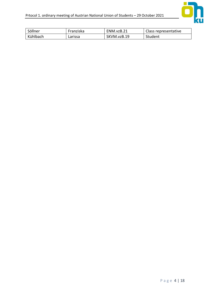

| Söllner  | Franziska | ENM.vzB.21  | Class representative |
|----------|-----------|-------------|----------------------|
| Kühlbach | Larissa   | SKVM.vzB.19 | Student              |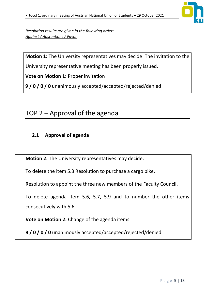

*Resolution results are given in the following order: Against / Abstentions / Favor*

**Motion 1:** The University representatives may decide: The invitation to the

University representative meeting has been properly issued.

**Vote on Motion 1:** Proper invitation

**9 / 0 / 0 / 0** unanimously accepted/accepted/rejected/denied

# TOP  $2$  – Approval of the agenda

#### **2.1 Approval of agenda**

**Motion 2:** The University representatives may decide:

To delete the item 5.3 Resolution to purchase a cargo bike.

Resolution to appoint the three new members of the Faculty Council.

To delete agenda item 5.6, 5.7, 5.9 and to number the other items consecutively with 5.6.

**Vote on Motion 2:** Change of the agenda items

**9 / 0 / 0 / 0** unanimously accepted/accepted/rejected/denied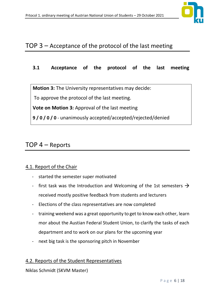

### TOP  $3$  – Acceptance of the protocol of the last meeting

#### **3.1 Acceptance of the protocol of the last meeting**

**Motion 3:** The University representatives may decide:

To approve the protocol of the last meeting.

**Vote on Motion 3:** Approval of the last meeting

**9 / 0 / 0 / 0** - unanimously accepted/accepted/rejected/denied

### $TOP 4 - Reports$

#### 4.1. Report of the Chair

- started the semester super motivated
- first task was the Introduction and Welcoming of the 1st semesters  $\rightarrow$ received mostly positive feedback from students and lecturers
- Elections of the class representatives are now completed
- training weekend was a great opportunity to get to know each other, learn mor about the Austian Federal Student Union, to clarify the tasks of each department and to work on our plans for the upcoming year
- next big task is the sponsoring pitch in November

#### 4.2. Reports of the Student Representatives

#### Niklas Schmidt (SKVM Master)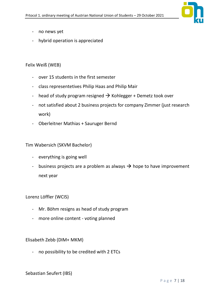

- no news yet
- hybrid operation is appreciated

#### Felix Weiß (WEB)

- over 15 students in the first semester
- class representetives Philip Haas and Philip Mair
- head of study program resigned  $\rightarrow$  Kohlegger + Demetz took over
- not satisfied about 2 business projects for company Zimmer (just research work)
- Oberleitner Mathias + Sauruger Bernd

Tim Wabersich (SKVM Bachelor)

- everything is going well
- business projects are a problem as always  $\rightarrow$  hope to have improvement next year

Lorenz Löffler (WCIS)

- Mr. Böhm resigns as head of study program
- more online content voting planned

Elisabeth Zebb (DIM+ MKM)

- no possibility to be credited with 2 ETCs

Sebastian Seufert (IBS)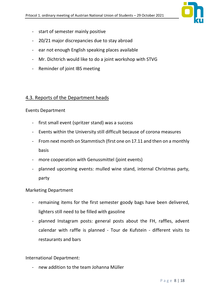

- start of semester mainly positive
- 20/21 major discrepancies due to stay abroad
- ear not enough English speaking places available
- Mr. Dichtrich would like to do a joint workshop with STVG
- Reminder of joint IBS meeting

#### 4.3. Reports of the Department heads

#### Events Department

- first small event (spritzer stand) was a success
- Events within the University still difficult because of corona measures
- From next month on Stammtisch (first one on 17.11 and then on a monthly basis
- more cooperation with Genussmittel (joint events)
- planned upcoming events: mulled wine stand, internal Christmas party, party

#### Marketing Department

- remaining items for the first semester goody bags have been delivered, lighters still need to be filled with gasoline
- planned Instagram posts: general posts about the FH, raffles, advent calendar with raffle is planned - Tour de Kufstein - different visits to restaurants and bars

International Department:

- new addition to the team Johanna Müller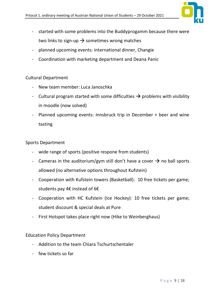

- started with some problems into the Buddyprogamm because there were two links to sign-up  $\rightarrow$  sometimes wrong matches
- planned upcoming events: international dinner, Changie
- Coordination with marketing department and Deana Panic

#### Cultural Department

- New team member: Luca Janoschka
- Cultural program started with some difficulties  $\rightarrow$  problems with visibility in moodle (now solved)
- Planned upcoming events: Innsbruck trip in December + beer and wine tasting

#### Sports Department

- wide range of sports (positive respone from students)
- Cameras in the auditorium/gym still don't have a cover  $\rightarrow$  no ball sports allowed (no alternative options throughout Kufstein)
- Cooperation with Kufstein towers (Basketball): 10 free tickets per game; students pay 4€ instead of 6€
- Cooperation with HC Kufstein (Ice Hockey): 10 free tickets per game; student discount & special deals at Pure
- First Hotspot takes place right now (Hike to Weinberghaus)

Education Policy Department

- Addition to the team Chiara Tschurtschentaler
- few tickets so far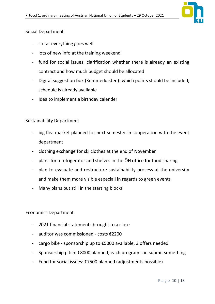

#### Social Department

- so far everything goes well
- lots of new info at the training weekend
- fund for social issues: clarification whether there is already an existing contract and how much budget should be allocated
- Digital suggestion box (Kummerkasten): which points should be included; schedule is already available
- Idea to implement a birthday calender

#### Sustainability Department

- big flea market planned for next semester in cooperation with the event department
- clothing exchange for ski clothes at the end of November
- plans for a refrigerator and shelves in the ÖH office for food sharing
- plan to evaluate and restructure sustainability process at the university and make them more visible especiall in regards to green events
- Many plans but still in the starting blocks

#### Economics Department

- 2021 financial statements brought to a close
- auditor was commissioned costs €2200
- cargo bike sponsorship up to  $£5000$  available, 3 offers needed
- Sponsorship pitch: €8000 planned; each program can submit something
- Fund for social issues: €7500 planned (adjustments possible)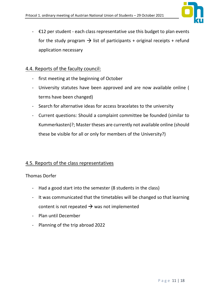

 $\div$   $\epsilon$ 12 per student - each class representative use this budget to plan events for the study program  $\rightarrow$  list of participants + original receipts + refund application necessary

#### 4.4. Reports of the faculty council:

- first meeting at the beginning of October
- University statutes have been approved and are now available online ( terms have been changed)
- Search for alternative ideas for access bracelates to the university
- Current questions: Should a complaint committee be founded (similar to Kummerkasten)?; Master theses are currently not available online (should these be visible for all or only for members of the University?)

#### 4.5. Reports of the class representatives

#### Thomas Dorfer

- Had a good start into the semester (8 students in the class)
- It was communicated that the timetables will be changed so that learning content is not repeated  $\rightarrow$  was not implemented
- Plan until December
- Planning of the trip abroad 2022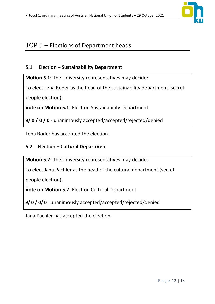

### TOP  $5$  – Elections of Department heads

#### **5.1 Election ʹ Sustainabillity Department**

**Motion 5.1:** The University representatives may decide:

To elect Lena Röder as the head of the sustainability department (secret people election).

**Vote on Motion 5.1:** Election Sustainability Department

**9/ 0 / 0 / 0** - unanimously accepted/accepted/rejected/denied

Lena Röder has accepted the election.

#### **5.2 Election ʹ Cultural Department**

**Motion 5.2:** The University representatives may decide:

To elect Jana Pachler as the head of the cultural department (secret

people election).

**Vote on Motion 5.2:** Election Cultural Department

**9/ 0 / 0/ 0** - unanimously accepted/accepted/rejected/denied

Jana Pachler has accepted the election.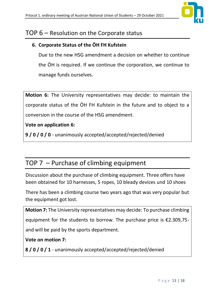

### TOP  $6$  – Resolution on the Corporate status

#### **6. Corporate Status of the ÖH FH Kufstein**

Due to the new HSG amendment a decision on whether to continue the ÖH is required. If we continue the corporation, we continue to manage funds ourselves.

**Motion 6:** The University representatives may decide: to maintain the corporate status of the ÖH FH Kufstein in the future and to object to a conversion in the course of the HSG amendment.

#### **Vote on application 6:**

**9 / 0 / 0 / 0** - unanimously accepted/accepted/rejected/denied

# TOP  $7$  – Purchase of climbing equipment

Discussion about the purchase of climbing equipment. Three offers have been obtained for 10 harnesses, 5 ropes, 10 bleady devices und 10 shoes

There has been a climbing course two years ago that was very popular but the equipment got lost.

**Motion 7:** The University representatives may decide: To purchase climbing equipment for the students to borrow. The purchase price is  $£2.309,75$ and will be paid by the sports department.

#### **Vote on motion 7:**

**8 / 0 / 0 / 1** - unanimously accepted/accepted/rejected/denied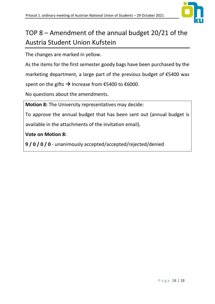

# TOP  $8 -$  Amendment of the annual budget 20/21 of the Austria Student Union Kufstein

The changes are marked in yellow.

As the items for the first semester goody bags have been purchased by the marketing department, a large part of the previous budget of  $\epsilon$ 5400 was spent on the gifts  $\rightarrow$  Increase from €5400 to €6000.

No questions about the amendments.

**Motion 8:** The University representatives may decide:

To approve the annual budget that has been sent out (annual budget is available in the attachments of the invitation email).

**Vote on Motion 8:** 

**9 / 0 / 0 / 0** - unanimously accepted/accepted/rejected/denied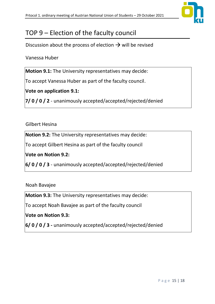

# TOP  $9$  – Election of the faculty council

Discussion about the process of election  $\rightarrow$  will be revised

Vanessa Huber

**Motion 9.1:** The University representatives may decide:

To accept Vanessa Huber as part of the faculty council.

**Vote on application 9.1:**

**7/ 0 / 0 / 2** - unanimously accepted/accepted/rejected/denied

#### Gilbert Hesina

**Notion 9.2:** The University representatives may decide:

To accept Gilbert Hesina as part of the faculty council

**Vote on Notion 9.2:**

**6/ 0 / 0 / 3** - unanimously accepted/accepted/rejected/denied

Noah Bavajee

**Motion 9.3:** The University representatives may decide:

To accept Noah Bavajee as part of the faculty council

**Vote on Notion 9.3:**

**6/ 0 / 0 / 3 -** unanimously accepted/accepted/rejected/denied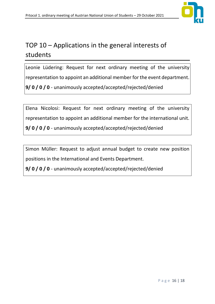

# TOP  $10$  – Applications in the general interests of students

Leonie Lüdering: Request for next ordinary meeting of the university representation to appoint an additional member for the event department. **9/ 0 / 0 / 0** - unanimously accepted/accepted/rejected/denied

Elena Nicolosi: Request for next ordinary meeting of the university representation to appoint an additional member for the international unit. **9/ 0 / 0 / 0** - unanimously accepted/accepted/rejected/denied

Simon Müller: Request to adjust annual budget to create new position positions in the International and Events Department.

**9/ 0 / 0 / 0** - unanimously accepted/accepted/rejected/denied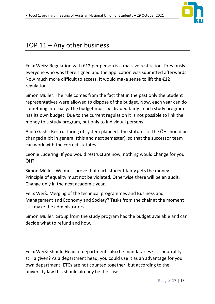

## TOP  $11 -$  Any other business

Felix Weiß: Regulation with  $E12$  per person is a massive restriction. Previously: everyone who was there signed and the application was submitted afterwards. Now much more difficult to access. It would make sense to lift the  $\epsilon$ 12 regulation

Simon Müller: The rule comes from the fact that in the past only the Student representatives were allowed to dispose of the budget. Now, each year can do something internally. The budget must be divided fairly - each study program has its own budget. Due to the current regulation it is not possible to link the money to a study program, but only to individual persons.

Albin Gashi: Restructuring of system planned. The statutes of the ÖH should be changed a bit in general (this and next semester), so that the successor team can work with the correct statutes.

Leonie Lüdering: If you would restructure now, nothing would change for you ÖH?

Simon Müller: We must prove that each student fairly gets the money. Principle of equality must not be violated. Otherwise there will be an audit. Change only in the next academic year.

Felix Weiß: Merging of the technical programmes and Business and Management and Economy and Society? Tasks from the chair at the moment still make the administrators

Simon Müller: Group from the study program has the budget available and can decide what to refund and how.

Felix Weiß: Should Head of departments also be mandataries? - is neutrality still a given? As a department head, you could use it as an advantage for you own department. ETCs are not counted together, but according to the university law this should already be the case.